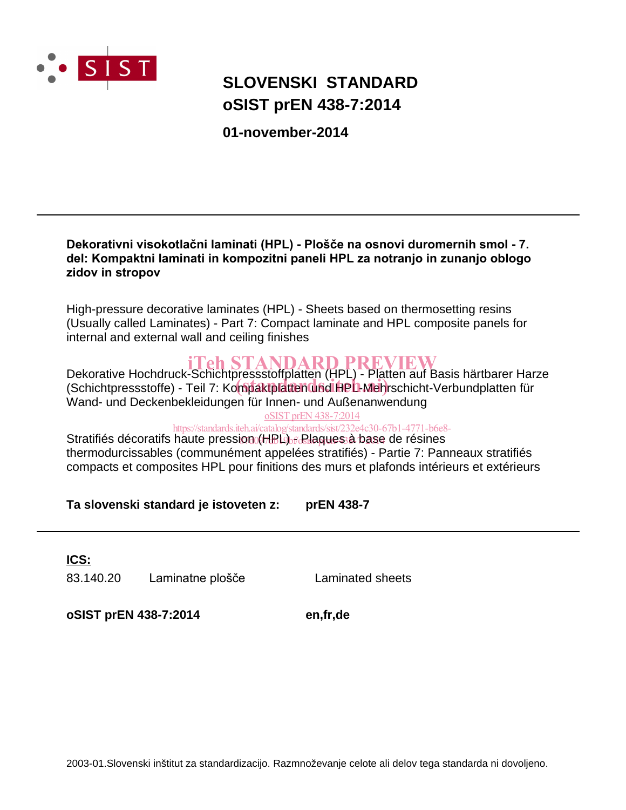

# **oSIST prEN 438-7:2014 SLOVENSKI STANDARD**

**01-november-2014**

### Dekorativni visokotlačni laminati (HPL) - Plošče na osnovi duromernih smol - 7. del: Kompaktni laminati in kompozitni paneli HPL za notranjo in zunanjo oblogo **zidov in stropov**

High-pressure decorative laminates (HPL) - Sheets based on thermosetting resins (Usually called Laminates) - Part 7: Compact laminate and HPL composite panels for internal and external wall and ceiling finishes

**iTeh STANDARD PREVIEW**<br>Dekorative Hochdruck-Schichtpressstoffplatten (HPL) - Platten auf Basis härtbarer Harze Bekordung Tiochtricht Generupressstoffplatten (in E) Thatten dar Basis hartbaren han.<br>(Schichtpressstoffe) - Teil 7: Kompaktplatten und HPL-Mehrschicht-Verbundplatten für Wand- und Deckenbekleidungen für Innen- und Außenanwendung oSIST prEN 438-7:2014

https://standards.iteh.ai/catalog/standards/sist/232e4c30-67b1-4771-b6e8-

Stratifiés décoratifs haute pression (HBL) <sub>fo</sub>Rlagues à base de résines thermodurcissables (communément appelées stratifiés) - Partie 7: Panneaux stratifiés compacts et composites HPL pour finitions des murs et plafonds intérieurs et extérieurs

**Ta slovenski standard je istoveten z: prEN 438-7**

83.140.20 Laminatne plošče Laminated sheets **ICS:**

**oSIST prEN 438-7:2014 en,fr,de**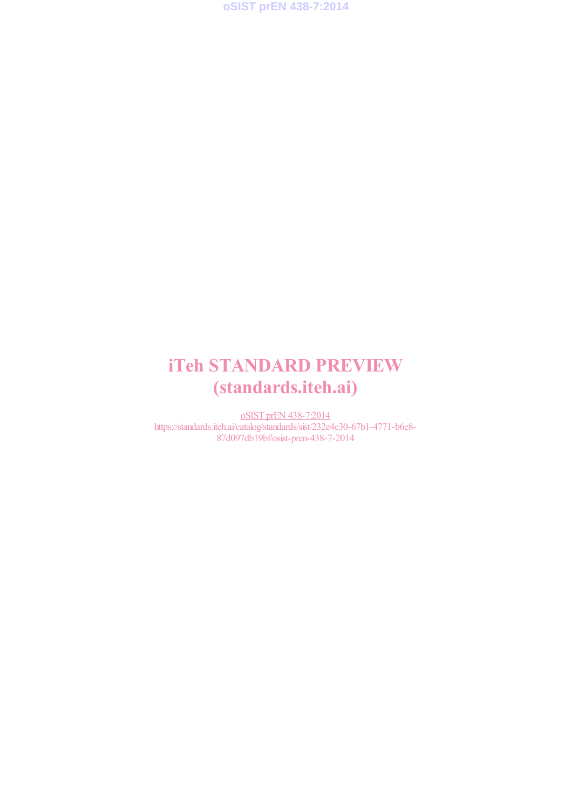

# iTeh STANDARD PREVIEW (standards.iteh.ai)

oSIST prEN 438-7:2014 https://standards.iteh.ai/catalog/standards/sist/232e4c30-67b1-4771-b6e8- 87d097db19bf/osist-pren-438-7-2014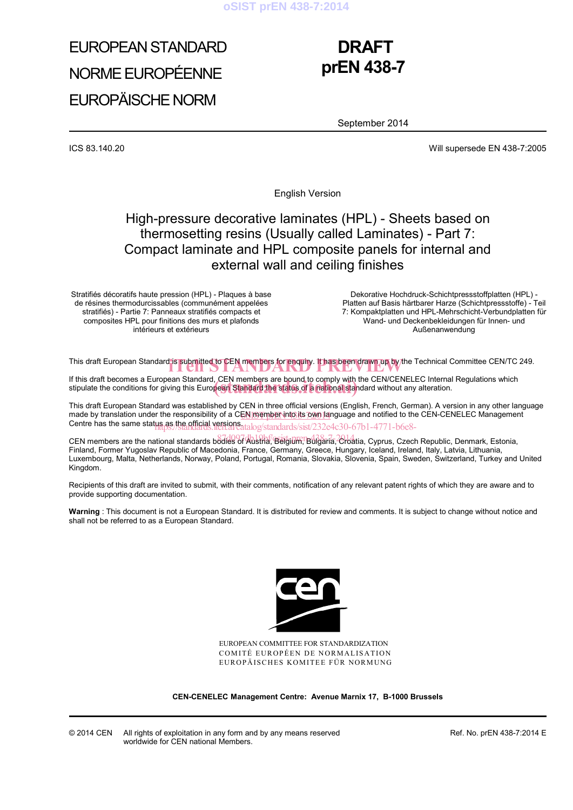

# EUROPEAN STANDARD NORME EUROPÉENNE EUROPÄISCHE NORM

## **DRAFT prEN 438-7**

September 2014

ICS 83.140.20 Will supersede EN 438-7:2005

English Version

### High-pressure decorative laminates (HPL) - Sheets based on thermosetting resins (Usually called Laminates) - Part 7: Compact laminate and HPL composite panels for internal and external wall and ceiling finishes

Stratifiés décoratifs haute pression (HPL) - Plaques à base de résines thermodurcissables (communément appelées stratifiés) - Partie 7: Panneaux stratifiés compacts et composites HPL pour finitions des murs et plafonds intérieurs et extérieurs

 Dekorative Hochdruck-Schichtpressstoffplatten (HPL) - Platten auf Basis härtbarer Harze (Schichtpressstoffe) - Teil 7: Kompaktplatten und HPL-Mehrschicht-Verbundplatten für Wand- und Deckenbekleidungen für Innen- und Außenanwendung

This draft European Standard is submitted to CEN members for enquiry. It has been drawn up by the Technical Committee CEN/TC 249.

If this draft becomes a European Standard, CEN members are bound to comply with the CEN/CENELEC Internal Regulations which It this draft becomes a European Standard, CEN members are bound to comply with the CEN/CENELEC Internal<br>stipulate the conditions for giving this European Standard the status of a national standard without any alteration.

This draft European Standard was established by CEN in three official versions (English, French, German). A version in any other language made by translation under the responsibility of a CEN member into its own language and notified to the CEN-CENELEC Management Centre has the same status as the official versions at alog/standards/sist/232e4c30-67b1-4771-b6e8-

CEN members are the national standards bodies of Austria, Belgium, Bulgaria, Choatia, Cyprus, Czech Republic, Denmark, Estonia, Finland, Former Yugoslav Republic of Macedonia, France, Germany, Greece, Hungary, Iceland, Ireland, Italy, Latvia, Lithuania, Luxembourg, Malta, Netherlands, Norway, Poland, Portugal, Romania, Slovakia, Slovenia, Spain, Sweden, Switzerland, Turkey and United Kingdom.

Recipients of this draft are invited to submit, with their comments, notification of any relevant patent rights of which they are aware and to provide supporting documentation.

**Warning** : This document is not a European Standard. It is distributed for review and comments. It is subject to change without notice and shall not be referred to as a European Standard.



EUROPEAN COMMITTEE FOR STANDARDIZATION COMITÉ EUROPÉEN DE NORMALISATION EUROPÄISCHES KOMITEE FÜR NORMUNG

**CEN-CENELEC Management Centre: Avenue Marnix 17, B-1000 Brussels** 

© 2014 CEN All rights of exploitation in any form and by any means reserved worldwide for CEN national Members.

Ref. No. prEN 438-7:2014 E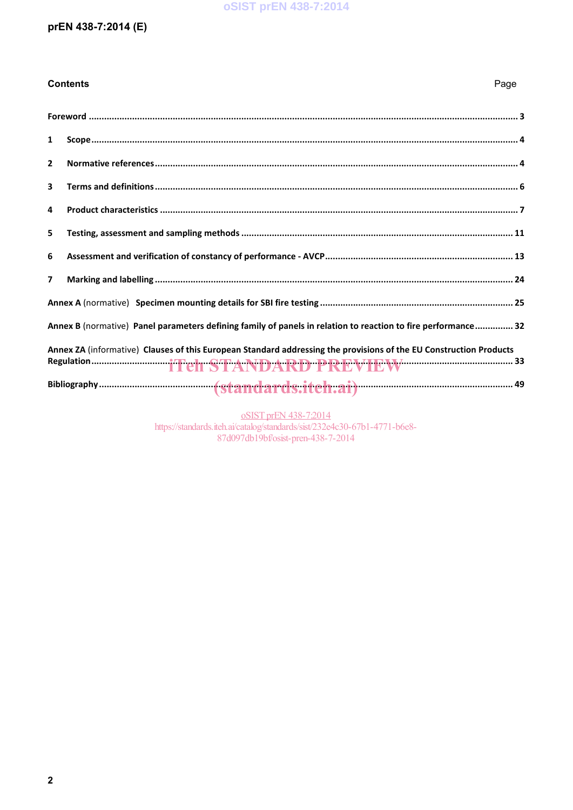#### **oSIST prEN 438-7:2014**

#### prEN 438-7:2014 (E)

**Contents** 

### Page  $\mathbf{1}$  $\overline{2}$  $\overline{\mathbf{3}}$  $\overline{a}$ 5 6  $\overline{\mathbf{z}}$ Annex B (normative) Panel parameters defining family of panels in relation to reaction to fire performance.............. 32 Annex ZA (informative) Clauses of this European Standard addressing the provisions of the EU Construction Products

oSIST prEN 438-7:2014 https://standards.iteh.ai/catalog/standards/sist/232e4c30-67b1-4771-b6e8-87d097db19bf/osist-pren-438-7-2014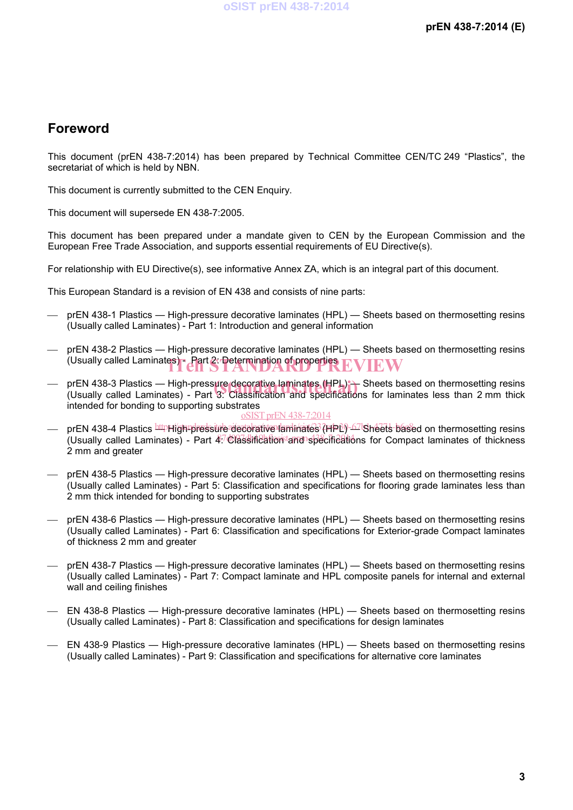### **Foreword**

This document (prEN 438-7:2014) has been prepared by Technical Committee CEN/TC 249 "Plastics", the secretariat of which is held by NBN.

This document is currently submitted to the CEN Enquiry.

This document will supersede EN 438-7:2005.

This document has been prepared under a mandate given to CEN by the European Commission and the European Free Trade Association, and supports essential requirements of EU Directive(s).

For relationship with EU Directive(s), see informative Annex ZA, which is an integral part of this document.

This European Standard is a revision of EN 438 and consists of nine parts:

- prEN 438-1 Plastics High-pressure decorative laminates (HPL) Sheets based on thermosetting resins (Usually called Laminates) - Part 1: Introduction and general information
- prEN 438-2 Plastics High-pressure decorative laminates (HPL) Sheets based on thermosetting resins (Usually called Laminates) - Part 2: Determination of properties  ${\rm EVERW}$
- prEN 438-3 Plastics High-pressure decorative laminates (HPL) Sheets based on thermosetting resins (Usually called Laminates) Part 3: Classification and specifications for laminates less than 2 mm thick (Usually called Laminates) - Part 3: Classification and specifications for laminates less than 2 mm thick intended for bonding to supporting substrates oSIST prEN 438-7:2014
- prEN 438-4 Plastics <u>httpHigh¤pressure</u> decorative laminates (HPL)-67lSheets based on thermosetting resins (Usually called Laminates) - Part 47 Classification lang specifications for Compact laminates of thickness 2 mm and greater
- prEN 438-5 Plastics High-pressure decorative laminates (HPL) Sheets based on thermosetting resins (Usually called Laminates) - Part 5: Classification and specifications for flooring grade laminates less than 2 mm thick intended for bonding to supporting substrates
- prEN 438-6 Plastics High-pressure decorative laminates (HPL) Sheets based on thermosetting resins (Usually called Laminates) - Part 6: Classification and specifications for Exterior-grade Compact laminates of thickness 2 mm and greater
- prEN 438-7 Plastics High-pressure decorative laminates (HPL) Sheets based on thermosetting resins (Usually called Laminates) - Part 7: Compact laminate and HPL composite panels for internal and external wall and ceiling finishes
- EN 438-8 Plastics High-pressure decorative laminates (HPL) Sheets based on thermosetting resins (Usually called Laminates) - Part 8: Classification and specifications for design laminates
- EN 438-9 Plastics High-pressure decorative laminates (HPL) Sheets based on thermosetting resins (Usually called Laminates) - Part 9: Classification and specifications for alternative core laminates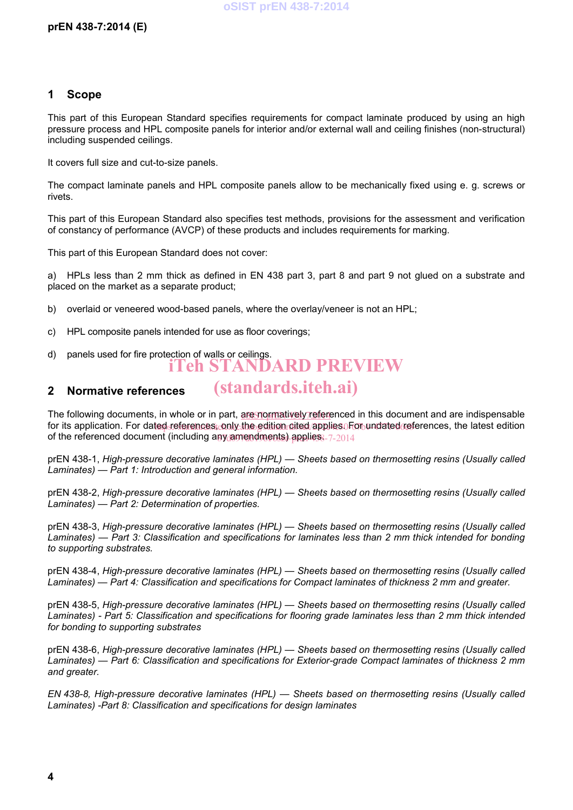#### **1 Scope**

This part of this European Standard specifies requirements for compact laminate produced by using an high pressure process and HPL composite panels for interior and/or external wall and ceiling finishes (non-structural) including suspended ceilings.

It covers full size and cut-to-size panels.

The compact laminate panels and HPL composite panels allow to be mechanically fixed using e. g. screws or rivets.

This part of this European Standard also specifies test methods, provisions for the assessment and verification of constancy of performance (AVCP) of these products and includes requirements for marking.

This part of this European Standard does not cover:

a) HPLs less than 2 mm thick as defined in EN 438 part 3, part 8 and part 9 not glued on a substrate and placed on the market as a separate product;

- b) overlaid or veneered wood-based panels, where the overlay/veneer is not an HPL;
- c) HPL composite panels intended for use as floor coverings;
- d) panels used for fire protection of walls or ceilings. iTeh STANDARD PREVIEW

#### **2 Normative references**

The following documents, in whole or in part, are normatively referenced in this document and are indispensable for its application. For dated references, only the edition cited applies. For undated references, the latest edition of the referenced document (including any amendments) applies. 7-2014

(standards.iteh.ai)

prEN 438-1, *High-pressure decorative laminates (HPL) — Sheets based on thermosetting resins (Usually called Laminates) — Part 1: Introduction and general information.*

prEN 438-2, *High-pressure decorative laminates (HPL) — Sheets based on thermosetting resins (Usually called Laminates) — Part 2: Determination of properties.*

prEN 438-3, *High-pressure decorative laminates (HPL) — Sheets based on thermosetting resins (Usually called Laminates) — Part 3: Classification and specifications for laminates less than 2 mm thick intended for bonding to supporting substrates.*

prEN 438-4, *High-pressure decorative laminates (HPL) — Sheets based on thermosetting resins (Usually called Laminates) — Part 4: Classification and specifications for Compact laminates of thickness 2 mm and greater.*

prEN 438-5, *High-pressure decorative laminates (HPL) — Sheets based on thermosetting resins (Usually called Laminates) - Part 5: Classification and specifications for flooring grade laminates less than 2 mm thick intended for bonding to supporting substrates*

prEN 438-6, *High-pressure decorative laminates (HPL) — Sheets based on thermosetting resins (Usually called Laminates) — Part 6: Classification and specifications for Exterior-grade Compact laminates of thickness 2 mm and greater.*

*EN 438-8, High-pressure decorative laminates (HPL) — Sheets based on thermosetting resins (Usually called Laminates) -Part 8: Classification and specifications for design laminates*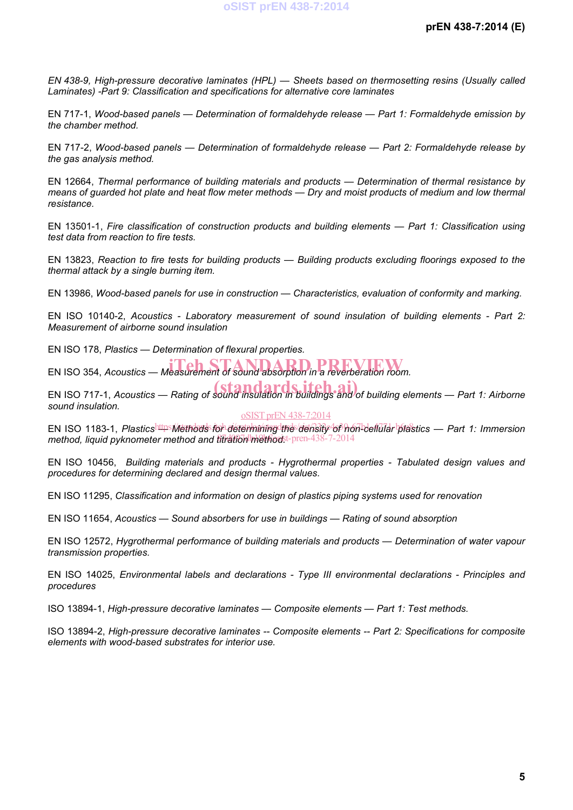*EN 438-9, High-pressure decorative laminates (HPL) — Sheets based on thermosetting resins (Usually called Laminates) -Part 9: Classification and specifications for alternative core laminates* 

EN 717-1, *Wood-based panels — Determination of formaldehyde release — Part 1: Formaldehyde emission by the chamber method.*

EN 717-2, *Wood-based panels — Determination of formaldehyde release — Part 2: Formaldehyde release by the gas analysis method.*

EN 12664, *Thermal performance of building materials and products — Determination of thermal resistance by means of guarded hot plate and heat flow meter methods — Dry and moist products of medium and low thermal resistance.*

EN 13501-1, *Fire classification of construction products and building elements — Part 1: Classification using test data from reaction to fire tests.*

EN 13823, *Reaction to fire tests for building products — Building products excluding floorings exposed to the thermal attack by a single burning item.*

EN 13986, *Wood-based panels for use in construction — Characteristics, evaluation of conformity and marking.*

EN ISO 10140-2, *Acoustics - Laboratory measurement of sound insulation of building elements - Part 2: Measurement of airborne sound insulation* 

EN ISO 178, *Plastics — Determination of flexural properties.*

EN ISO 354, *Acoustics* — *Measurement of sound absorption in a reverberation room.* 

EN ISO 717-1, *Acoustics — Rating of sound insulation in buildings and of building elements — Part 1: Airborne sound insulation.*

#### oSIST prEN 438-7:2014

EN ISO 1183-1, *Plastics<sup>https</sup>Niethods for determining the density of non-dellular plastics — Part 1: Immersion* method, liquid pyknometer method and titration methodst-pren-438-7-2014

EN ISO 10456, *Building materials and products - Hygrothermal properties - Tabulated design values and procedures for determining declared and design thermal values.*

EN ISO 11295, *Classification and information on design of plastics piping systems used for renovation* 

EN ISO 11654, *Acoustics — Sound absorbers for use in buildings — Rating of sound absorption*

EN ISO 12572, *Hygrothermal performance of building materials and products — Determination of water vapour transmission properties.*

EN ISO 14025, *Environmental labels and declarations - Type III environmental declarations - Principles and procedures* 

ISO 13894-1, *High-pressure decorative laminates — Composite elements — Part 1: Test methods.*

ISO 13894-2, *High-pressure decorative laminates -- Composite elements -- Part 2: Specifications for composite elements with wood-based substrates for interior use.*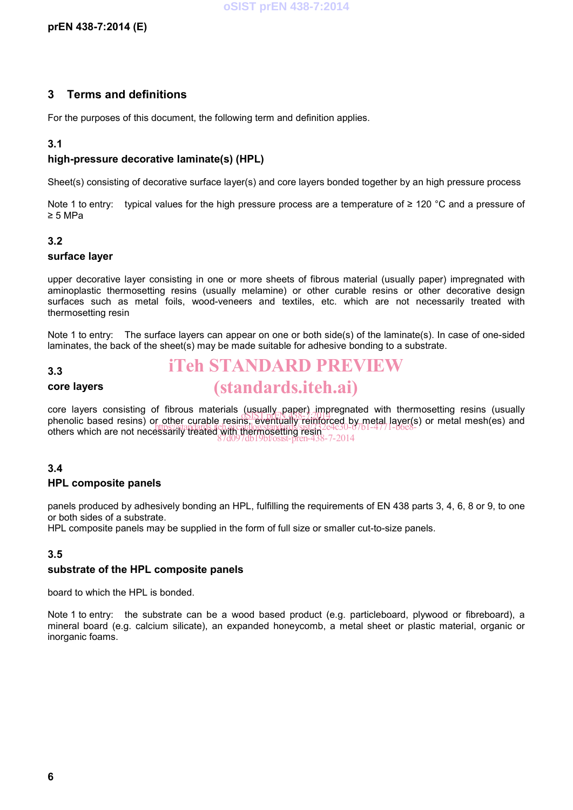#### **3 Terms and definitions**

For the purposes of this document, the following term and definition applies.

#### **3.1**

#### **high-pressure decorative laminate(s) (HPL)**

Sheet(s) consisting of decorative surface layer(s) and core layers bonded together by an high pressure process

Note 1 to entry: typical values for the high pressure process are a temperature of ≥ 120 °C and a pressure of ≥ 5 MPa

#### **3.2**

#### **surface layer**

upper decorative layer consisting in one or more sheets of fibrous material (usually paper) impregnated with aminoplastic thermosetting resins (usually melamine) or other curable resins or other decorative design surfaces such as metal foils, wood-veneers and textiles, etc. which are not necessarily treated with thermosetting resin

Note 1 to entry: The surface layers can appear on one or both side(s) of the laminate(s). In case of one-sided laminates, the back of the sheet(s) may be made suitable for adhesive bonding to a substrate.

#### **3.3**

#### **core layers**

### iTeh STANDARD PREVIEW (standards.iteh.ai)

core layers consisting of fibrous materials (usually paper) impregnated with thermosetting resins (usually core layers consisting or inflous materials (asually paper). Impregnated with thermosetting resins (usually phenolic based resins) or other curable resins, eventually reinforced by metal layer(s) or metal mesh(es) and phenoid based resins) of phicipal children resins, eventually, temple 230-67b1-4771-b6e8-<br>others which are not necessarily treated with thermosetting resince 230-67b1-4771-b6e8-87d097db19bf/osist-pren-438-7-2014

#### **3.4**

#### **HPL composite panels**

panels produced by adhesively bonding an HPL, fulfilling the requirements of EN 438 parts 3, 4, 6, 8 or 9, to one or both sides of a substrate.

HPL composite panels may be supplied in the form of full size or smaller cut-to-size panels.

#### **3.5**

#### **substrate of the HPL composite panels**

board to which the HPL is bonded.

Note 1 to entry: the substrate can be a wood based product (e.g. particleboard, plywood or fibreboard), a mineral board (e.g. calcium silicate), an expanded honeycomb, a metal sheet or plastic material, organic or inorganic foams.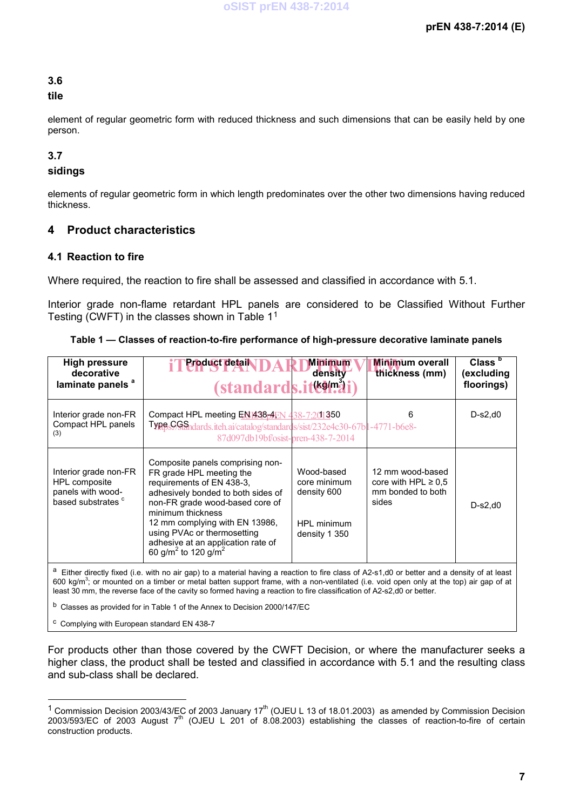#### **3.6**

#### **tile**

element of regular geometric form with reduced thickness and such dimensions that can be easily held by one person.

#### **3.7**

#### **sidings**

elements of regular geometric form in which length predominates over the other two dimensions having reduced thickness.

#### **4 Product characteristics**

#### **4.1 Reaction to fire**

Where required, the reaction to fire shall be assessed and classified in accordance with 5.1.

Interior grade non-flame retardant HPL panels are considered to be Classified Without Further Testing (CWFT) in the classes shown in Table 11

| <b>High pressure</b><br>decorative<br>laminate panels <sup>a</sup>                                                                              | <b>Product detail</b><br><u>(standards.it&amp;\mai</u>                                                                                                                                                                                                                                                                                        | <b>Minimum</b><br>density                                                 | <b>Minimum</b> overall<br>thickness (mm)                                   | Class <sup>b</sup><br>(excluding<br>floorings) |
|-------------------------------------------------------------------------------------------------------------------------------------------------|-----------------------------------------------------------------------------------------------------------------------------------------------------------------------------------------------------------------------------------------------------------------------------------------------------------------------------------------------|---------------------------------------------------------------------------|----------------------------------------------------------------------------|------------------------------------------------|
| Interior grade non-FR<br>Compact HPL panels<br>(3)                                                                                              | Compact HPL meeting EN1438 <sub>D</sub> 4EN 438-7201350<br>TypesCGSandards.iteh.ai/catalog/standards/sist/232e4c30-67bl-4771-b6e8-<br>87d097db19bf/osist-pren-438-7-2014                                                                                                                                                                      |                                                                           | 6                                                                          | $D-s2,d0$                                      |
| Interior grade non-FR<br>HPL composite<br>panels with wood-<br>based substrates <sup>c</sup>                                                    | Composite panels comprising non-<br>FR grade HPL meeting the<br>requirements of EN 438-3,<br>adhesively bonded to both sides of<br>non-FR grade wood-based core of<br>minimum thickness<br>12 mm complying with EN 13986,<br>using PVAc or thermosetting<br>adhesive at an application rate of<br>60 g/m <sup>2</sup> to 120 g/m <sup>2</sup> | Wood-based<br>core minimum<br>density 600<br>HPL minimum<br>density 1 350 | 12 mm wood-based<br>core with HPL $\geq 0.5$<br>mm bonded to both<br>sides | $D-S2, d0$                                     |
| а<br>Fither directly fixed (i.e. with no air gan) to a material having a reaction to fire class of A2-s1 d0 or better and a density of at least |                                                                                                                                                                                                                                                                                                                                               |                                                                           |                                                                            |                                                |

a Either directly fixed (i.e. with no air gap) to a material having a reaction to fire class of A2-s1,d0 or better and a density of at least 600 kg/m<sup>3</sup>; or mounted on a timber or metal batten support frame, with a non-ventilated (i.e. void open only at the top) air gap of at least 30 mm, the reverse face of the cavity so formed having a reaction to fire classification of A2-s2,d0 or better.

b Classes as provided for in Table 1 of the Annex to Decision 2000/147/EC

c Complying with European standard EN 438-7

For products other than those covered by the CWFT Decision, or where the manufacturer seeks a higher class, the product shall be tested and classified in accordance with 5.1 and the resulting class and sub-class shall be declared.

 $1$  Commission Decision 2003/43/EC of 2003 January 17<sup>th</sup> (OJEU L 13 of 18.01.2003) as amended by Commission Decision 2003/593/EC of 2003 August 7<sup>th</sup> (OJEU L 201 of 8.08.2003) establishing the classes of reaction-to-fire of certain construction products.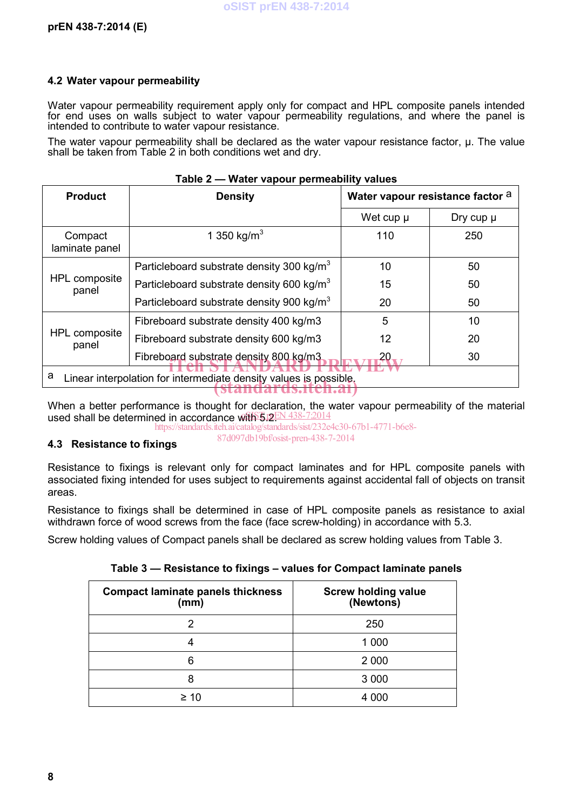#### **4.2 Water vapour permeability**

Water vapour permeability requirement apply only for compact and HPL composite panels intended for end uses on walls subject to water vapour permeability regulations, and where the panel is intended to contribute to water vapour resistance.

The water vapour permeability shall be declared as the water vapour resistance factor, μ. The value shall be taken from Table 2 in both conditions wet and dry.

| Table 2 - Water vapour permeability values                             |                                                       |                                  |               |  |  |
|------------------------------------------------------------------------|-------------------------------------------------------|----------------------------------|---------------|--|--|
| <b>Product</b>                                                         | <b>Density</b>                                        | Water vapour resistance factor a |               |  |  |
|                                                                        |                                                       | Wet cup $\mu$                    | Dry cup $\mu$ |  |  |
| Compact<br>laminate panel                                              | 1 350 kg/m <sup>3</sup>                               | 110                              | 250           |  |  |
| HPL composite<br>panel                                                 | Particleboard substrate density 300 kg/m <sup>3</sup> | 10                               | 50            |  |  |
|                                                                        | Particleboard substrate density 600 kg/m <sup>3</sup> | 15                               | 50            |  |  |
|                                                                        | Particleboard substrate density 900 kg/m <sup>3</sup> | 20                               | 50            |  |  |
| HPL composite<br>panel                                                 | Fibreboard substrate density 400 kg/m3                | 5                                | 10            |  |  |
|                                                                        | Fibreboard substrate density 600 kg/m3                | 12                               | 20            |  |  |
|                                                                        | Fibreboard substrate density 800 kg/m3                | 20.                              | 30            |  |  |
| a<br>Linear interpolation for intermediate density values is possible. |                                                       |                                  |               |  |  |

When a better performance is thought for declaration, the water vapour permeability of the material used shall be determined in accordance with 5.12EN 438-7:2014

https://standards.iteh.ai/catalog/standards/sist/232e4c30-67b1-4771-b6e8- 87d097db19bf/osist-pren-438-7-2014

#### **4.3 Resistance to fixings**

Resistance to fixings is relevant only for compact laminates and for HPL composite panels with associated fixing intended for uses subject to requirements against accidental fall of objects on transit areas.

Resistance to fixings shall be determined in case of HPL composite panels as resistance to axial withdrawn force of wood screws from the face (face screw-holding) in accordance with 5.3.

Screw holding values of Compact panels shall be declared as screw holding values from Table 3.

**Table 3 — Resistance to fixings – values for Compact laminate panels**

| <b>Compact laminate panels thickness</b><br>(mm) | <b>Screw holding value</b><br>(Newtons) |
|--------------------------------------------------|-----------------------------------------|
| 2                                                | 250                                     |
| 4                                                | 1 000                                   |
| 6                                                | 2 0 0 0                                 |
| 8                                                | 3 0 0 0                                 |
| ≥ 10                                             | 4 000                                   |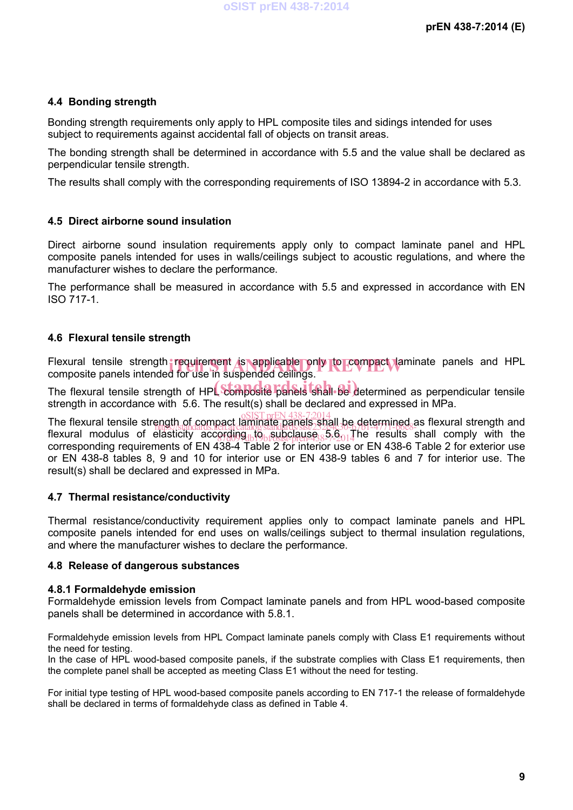#### **4.4 Bonding strength**

Bonding strength requirements only apply to HPL composite tiles and sidings intended for uses subject to requirements against accidental fall of objects on transit areas.

The bonding strength shall be determined in accordance with 5.5 and the value shall be declared as perpendicular tensile strength.

The results shall comply with the corresponding requirements of ISO 13894-2 in accordance with 5.3.

#### **4.5 Direct airborne sound insulation**

Direct airborne sound insulation requirements apply only to compact laminate panel and HPL composite panels intended for uses in walls/ceilings subject to acoustic regulations, and where the manufacturer wishes to declare the performance.

The performance shall be measured in accordance with 5.5 and expressed in accordance with EN ISO 717-1.

#### **4.6 Flexural tensile strength**

Flexural tensile strength requirement is applicable only to compact laminate panels and HPL<br>composite panels intended for use in suspended ceilings composite panels intended for use in suspended ceilings.

The flexural tensile strength of HPL composite panels shall be determined as perpendicular tensile strength in accordance with 5.6. The result(s) shall be declared and expressed in MPa.

The flexural tensile strength of compact laminate panels, shall be determined as flexural strength and flexural modulus of elasticity according  $\log_{10}$  subclause  $\delta$ -9.014 he results shall comply with the corresponding requirements of EN 438-4 Table 2 for interior use or EN 438-6 Table 2 for exterior use or EN 438-8 tables 8, 9 and 10 for interior use or EN 438-9 tables 6 and 7 for interior use. The result(s) shall be declared and expressed in MPa. https://standards.iteh.ai/catalog/standards/sist/232e4c30-67b1-4771-b6e8-

#### **4.7 Thermal resistance/conductivity**

Thermal resistance/conductivity requirement applies only to compact laminate panels and HPL composite panels intended for end uses on walls/ceilings subject to thermal insulation regulations, and where the manufacturer wishes to declare the performance.

#### **4.8 Release of dangerous substances**

#### **4.8.1 Formaldehyde emission**

Formaldehyde emission levels from Compact laminate panels and from HPL wood-based composite panels shall be determined in accordance with 5.8.1.

Formaldehyde emission levels from HPL Compact laminate panels comply with Class E1 requirements without the need for testing.

In the case of HPL wood-based composite panels, if the substrate complies with Class E1 requirements, then the complete panel shall be accepted as meeting Class E1 without the need for testing.

For initial type testing of HPL wood-based composite panels according to EN 717-1 the release of formaldehyde shall be declared in terms of formaldehyde class as defined in Table 4.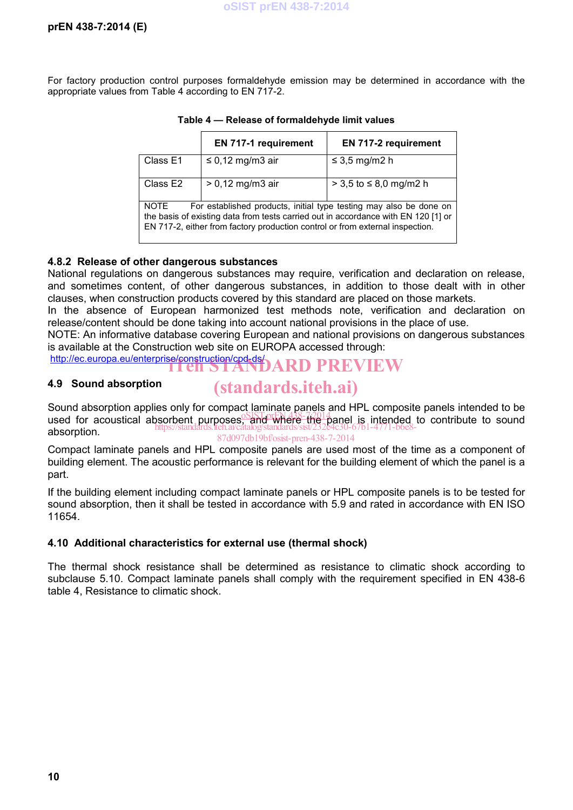For factory production control purposes formaldehyde emission may be determined in accordance with the appropriate values from Table 4 according to EN 717-2.

|                                                                                                                                                                                                                                                   | <b>EN 717-1 requirement</b> | <b>EN 717-2 requirement</b> |  |  |
|---------------------------------------------------------------------------------------------------------------------------------------------------------------------------------------------------------------------------------------------------|-----------------------------|-----------------------------|--|--|
| Class E1                                                                                                                                                                                                                                          | $\leq$ 0,12 mg/m3 air       | $\leq$ 3,5 mg/m2 h          |  |  |
| Class E2                                                                                                                                                                                                                                          | $> 0.12$ mg/m3 air          | > 3,5 to ≤ 8,0 mg/m2 h      |  |  |
| NOTE<br>For established products, initial type testing may also be done on<br>the basis of existing data from tests carried out in accordance with EN 120 [1] or<br>EN 717-2, either from factory production control or from external inspection. |                             |                             |  |  |

**Table 4 — Release of formaldehyde limit values**

#### **4.8.2 Release of other dangerous substances**

National regulations on dangerous substances may require, verification and declaration on release, and sometimes content, of other dangerous substances, in addition to those dealt with in other clauses, when construction products covered by this standard are placed on those markets.

In the absence of European harmonized test methods note, verification and declaration on release/content should be done taking into account national provisions in the place of use.

NOTE: An informative database covering European and national provisions on dangerous substances is available at the Construction web site on EUROPA accessed through:

http://ec.europa.eu/enterprise/construction/cpd-ds/<br>ITen STANDARD PREVIEW

#### **4.9 Sound absorption**

# (standards.iteh.ai)

Sound absorption applies only for compact laminate panels and HPL composite panels intended to be becand absorption applied only to compact the panel of the panel is intended to contribute to sound used for acoustical absorbent purposes, and where the panel is intended to contribute to sound absorption. https://standards.iteh.ai/catalog/standards/sist/232e4c30-67b1-4771-b6e8- 87d097db19bf/osist-pren-438-7-2014

Compact laminate panels and HPL composite panels are used most of the time as a component of building element. The acoustic performance is relevant for the building element of which the panel is a part.

If the building element including compact laminate panels or HPL composite panels is to be tested for sound absorption, then it shall be tested in accordance with 5.9 and rated in accordance with EN ISO 11654.

#### **4.10 Additional characteristics for external use (thermal shock)**

The thermal shock resistance shall be determined as resistance to climatic shock according to subclause 5.10. Compact laminate panels shall comply with the requirement specified in EN 438-6 table 4, Resistance to climatic shock.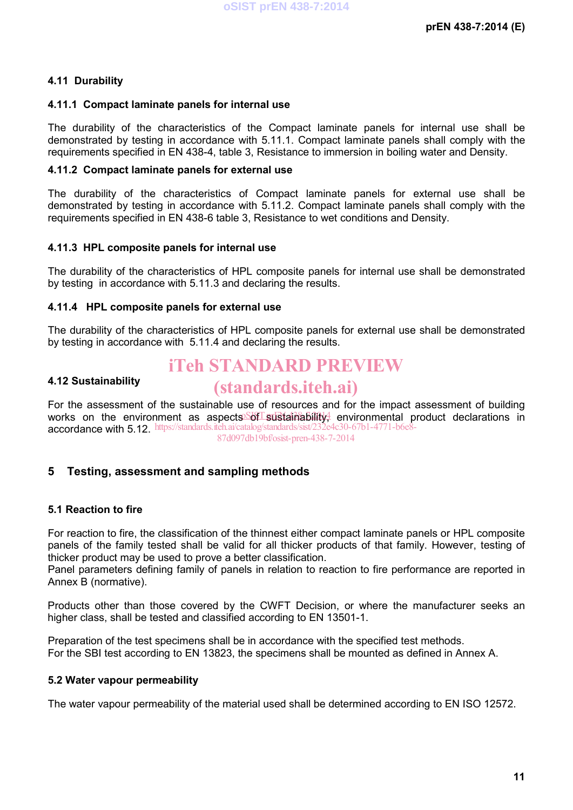#### **4.11 Durability**

#### **4.11.1 Compact laminate panels for internal use**

The durability of the characteristics of the Compact laminate panels for internal use shall be demonstrated by testing in accordance with 5.11.1. Compact laminate panels shall comply with the requirements specified in EN 438-4, table 3, Resistance to immersion in boiling water and Density.

#### **4.11.2 Compact laminate panels for external use**

The durability of the characteristics of Compact laminate panels for external use shall be demonstrated by testing in accordance with 5.11.2. Compact laminate panels shall comply with the requirements specified in EN 438-6 table 3, Resistance to wet conditions and Density.

#### **4.11.3 HPL composite panels for internal use**

The durability of the characteristics of HPL composite panels for internal use shall be demonstrated by testing in accordance with 5.11.3 and declaring the results.

#### **4.11.4 HPL composite panels for external use**

The durability of the characteristics of HPL composite panels for external use shall be demonstrated by testing in accordance with 5.11.4 and declaring the results.

### iTeh STANDARD PREVIEW

#### **4.12 Sustainability**

### (standards.iteh.ai)

For the assessment of the sustainable use of resources and for the impact assessment of building works on the environment as aspects Sof sustainability, environmental product declarations in accordance with 5.12. https://standards.iteh.ai/catalog/standards/sist/232e4c30-67b1-4771-b6e8-

87d097db19bf/osist-pren-438-7-2014

### **5 Testing, assessment and sampling methods**

#### **5.1 Reaction to fire**

For reaction to fire, the classification of the thinnest either compact laminate panels or HPL composite panels of the family tested shall be valid for all thicker products of that family. However, testing of thicker product may be used to prove a better classification.

Panel parameters defining family of panels in relation to reaction to fire performance are reported in Annex B (normative).

Products other than those covered by the CWFT Decision, or where the manufacturer seeks an higher class, shall be tested and classified according to EN 13501-1.

Preparation of the test specimens shall be in accordance with the specified test methods. For the SBI test according to EN 13823, the specimens shall be mounted as defined in Annex A.

#### **5.2 Water vapour permeability**

The water vapour permeability of the material used shall be determined according to EN ISO 12572.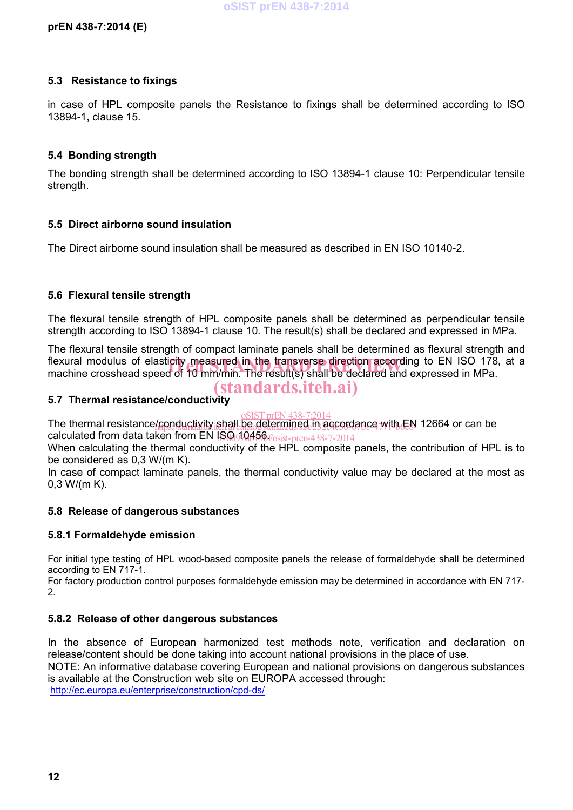#### **5.3 Resistance to fixings**

in case of HPL composite panels the Resistance to fixings shall be determined according to ISO 13894-1, clause 15.

#### **5.4 Bonding strength**

The bonding strength shall be determined according to ISO 13894-1 clause 10: Perpendicular tensile strength.

#### **5.5 Direct airborne sound insulation**

The Direct airborne sound insulation shall be measured as described in EN ISO 10140-2.

#### **5.6 Flexural tensile strength**

The flexural tensile strength of HPL composite panels shall be determined as perpendicular tensile strength according to ISO 13894-1 clause 10. The result(s) shall be declared and expressed in MPa.

The flexural tensile strength of compact laminate panels shall be determined as flexural strength and flexural modulus of elasticity measured in the transverse direction according to EN ISO 178, at a<br>machine crosshead speed of 10 mm/min. The result(s) shall be declared and expressed in MPa. machine crosshead speed of 10 mm/min. The result(s) shall be declared and expressed in MPa. (standards.iteh.ai)

#### **5.7 Thermal resistance/conductivity**

The thermal resistance/conductivity shall be determined in accordance with EN 12664 or can be calculated from data taken from EN ISO 10456 fosist-pren-438-7-2014  $mFNI$  438-7:2014

When calculating the thermal conductivity of the HPL composite panels, the contribution of HPL is to be considered as 0,3 W/(m K).

In case of compact laminate panels, the thermal conductivity value may be declared at the most as 0,3 W/(m K).

#### **5.8 Release of dangerous substances**

#### **5.8.1 Formaldehyde emission**

For initial type testing of HPL wood-based composite panels the release of formaldehyde shall be determined according to EN 717-1.

For factory production control purposes formaldehyde emission may be determined in accordance with EN 717- 2.

#### **5.8.2 Release of other dangerous substances**

In the absence of European harmonized test methods note, verification and declaration on release/content should be done taking into account national provisions in the place of use. NOTE: An informative database covering European and national provisions on dangerous substances is available at the Construction web site on EUROPA accessed through: http://ec.europa.eu/enterprise/construction/cpd-ds/